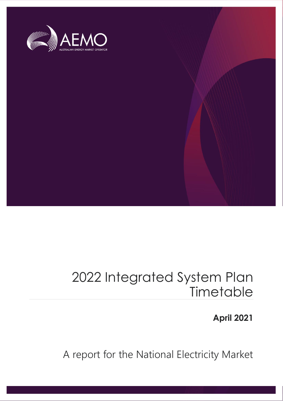

### 2022 Integrated System Plan **Timetable**

**April 2021**

A report for the National Electricity Market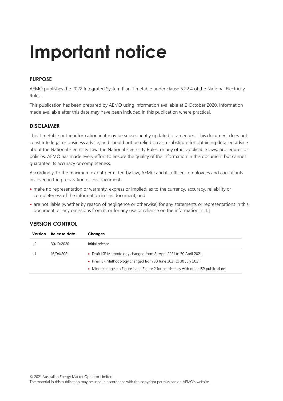## **Important notice**

#### **PURPOSE**

AEMO publishes the 2022 Integrated System Plan Timetable under clause 5.22.4 of the National Electricity Rules.

This publication has been prepared by AEMO using information available at 2 October 2020. Information made available after this date may have been included in this publication where practical.

#### **DISCLAIMER**

This Timetable or the information in it may be subsequently updated or amended. This document does not constitute legal or business advice, and should not be relied on as a substitute for obtaining detailed advice about the National Electricity Law, the National Electricity Rules, or any other applicable laws, procedures or policies. AEMO has made every effort to ensure the quality of the information in this document but cannot guarantee its accuracy or completeness.

Accordingly, to the maximum extent permitted by law, AEMO and its officers, employees and consultants involved in the preparation of this document:

- make no representation or warranty, express or implied, as to the currency, accuracy, reliability or completeness of the information in this document; and
- are not liable (whether by reason of negligence or otherwise) for any statements or representations in this document, or any omissions from it, or for any use or reliance on the information in it.]

#### **VERSION CONTROL**

| Version | Release date | <b>Changes</b>                                                                        |
|---------|--------------|---------------------------------------------------------------------------------------|
| 1.0     | 30/10/2020   | Initial release                                                                       |
| 1.1     | 16/04/2021   | • Draft ISP Methodology changed from 21 April 2021 to 30 April 2021.                  |
|         |              | • Final ISP Methodology changed from 30 June 2021 to 30 July 2021.                    |
|         |              | • Minor changes to Figure 1 and Figure 2 for consistency with other ISP publications. |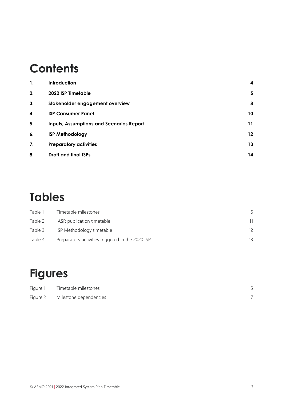### **Contents**

| 1. | <b>Introduction</b>                             | 4  |
|----|-------------------------------------------------|----|
| 2. | 2022 ISP Timetable                              | 5  |
| 3. | Stakeholder engagement overview                 | 8  |
| 4. | <b>ISP Consumer Panel</b>                       | 10 |
| 5. | <b>Inputs, Assumptions and Scenarios Report</b> | 11 |
| 6. | <b>ISP Methodology</b>                          | 12 |
| 7. | <b>Preparatory activities</b>                   | 13 |
| 8. | <b>Draft and final ISPs</b>                     | 14 |

### **Tables**

| Table 1 | Timetable milestones                             | 6  |
|---------|--------------------------------------------------|----|
| Table 2 | IASR publication timetable                       | 11 |
| Table 3 | ISP Methodology timetable                        | 12 |
| Table 4 | Preparatory activities triggered in the 2020 ISP | 13 |

### **Figures**

| Figure 1 | Timetable milestones   |  |
|----------|------------------------|--|
| Figure 2 | Milestone dependencies |  |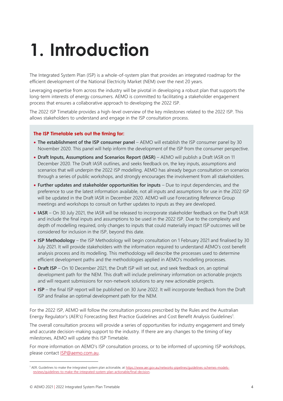# <span id="page-3-0"></span>**1. Introduction**

The Integrated System Plan (ISP) is a whole-of-system plan that provides an integrated roadmap for the efficient development of the National Electricity Market (NEM) over the next 20 years.

Leveraging expertise from across the industry will be pivotal in developing a robust plan that supports the long-term interests of energy consumers. AEMO is committed to facilitating a stakeholder engagement process that ensures a collaborative approach to developing the 2022 ISP.

The 2022 ISP Timetable provides a high-level overview of the key milestones related to the 2022 ISP. This allows stakeholders to understand and engage in the ISP consultation process.

#### **The ISP Timetable sets out the timing for:**

- **The establishment of the ISP consumer panel** AEMO will establish the ISP consumer panel by 30 November 2020. This panel will help inform the development of the ISP from the consumer perspective.
- **Draft Inputs, Assumptions and Scenarios Report (IASR)** AEMO will publish a Draft IASR on 11 December 2020. The Draft IASR outlines, and seeks feedback on, the key inputs, assumptions and scenarios that will underpin the 2022 ISP modelling. AEMO has already begun consultation on scenarios through a series of public workshops, and strongly encourages the involvement from all stakeholders.
- **Further updates and stakeholder opportunities for inputs**  Due to input dependencies, and the preference to use the latest information available, not all inputs and assumptions for use in the 2022 ISP will be updated in the Draft IASR in December 2020. AEMO will use Forecasting Reference Group meetings and workshops to consult on further updates to inputs as they are developed.
- **IASR** On 30 July 2021, the IASR will be released to incorporate stakeholder feedback on the Draft IASR and include the final inputs and assumptions to be used in the 2022 ISP. Due to the complexity and depth of modelling required, only changes to inputs that could materially impact ISP outcomes will be considered for inclusion in the ISP, beyond this date.
- **ISP Methodology** the ISP Methodology will begin consultation on 1 February 2021 and finalised by 30 July 2021. It will provide stakeholders with the information required to understand AEMO's cost benefit analysis process and its modelling. This methodology will describe the processes used to determine efficient development paths and the methodologies applied in AEMO's modelling processes.
- **Draft ISP** On 10 December 2021, the Draft ISP will set out, and seek feedback on, an optimal development path for the NEM. This draft will include preliminary information on actionable projects and will request submissions for non-network solutions to any new actionable projects.
- **ISP** the final ISP report will be published on 30 June 2022. It will incorporate feedback from the Draft ISP and finalise an optimal development path for the NEM.

For the 2022 ISP, AEMO will follow the consultation process prescribed by the Rules and the Australian Energy Regulator's (AER's) Forecasting Best Practice Guidelines and Cost Benefit Analysis Guidelines<sup>1</sup>.

The overall consultation process will provide a series of opportunities for industry engagement and timely and accurate decision-making support to the industry. If there are any changes to the timing of key milestones, AEMO will update this ISP Timetable.

For more information on AEMO's ISP consultation process, or to be informed of upcoming ISP workshops, please contact [ISP@aemo.com.au.](mailto:ISP@aemo.com.au)

<sup>1</sup> AER. Guidelines to make the integrated system plan actionable, at [https://www.aer.gov.au/networks-pipelines/guidelines-schemes-models](https://www.aer.gov.au/networks-pipelines/guidelines-schemes-models-reviews/guidelines-to-make-the-integrated-system-plan-actionable/final-decision)[reviews/guidelines-to-make-the-integrated-system-plan-actionable/final-decision.](https://www.aer.gov.au/networks-pipelines/guidelines-schemes-models-reviews/guidelines-to-make-the-integrated-system-plan-actionable/final-decision)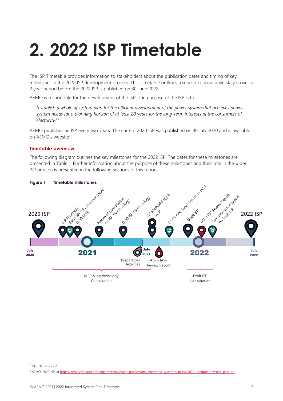# <span id="page-4-1"></span>**2. 2022 ISP Timetable**

The ISP Timetable provides information to stakeholders about the publication dates and timing of key milestones in the 2022 ISP development process. This Timetable outlines a series of consultative stages over a 2 year period before the 2022 ISP is published on 30 June 2022.

AEMO is responsible for the development of the ISP. The purpose of the ISP is to:

"*establish a whole of system plan for the efficient development of the power system that achieves power system needs for a planning horizon of at least 20 years for the long-term interests of the consumers of electricity.*" 2

AEMO publishes an ISP every two years. The current 2020 ISP was published on 30 July 2020 and is available on AEMO's website<sup>3</sup>.

#### **Timetable overview**

The following diagram outlines the key milestones for the 2022 ISP. The dates for these milestones are presented in [Table 1.](#page-5-0) Further information about the purpose of these milestones and their role in the wider ISP process is presented in the following sections of this report.

<span id="page-4-0"></span>

#### **Figure 1 Timetable milestones**

<sup>2</sup> NER clause 5.22.2

<sup>&</sup>lt;sup>3</sup> AEMO, 2020 ISP, at https://aemo.com.au/en/energy-systems/major-publications/integrated-system-plan-isp/2020-integrated-system-plan-isp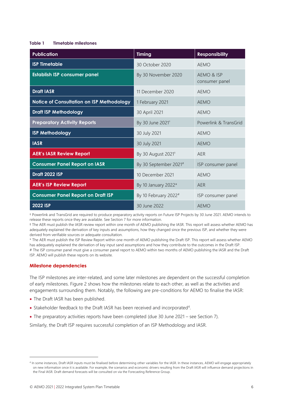#### <span id="page-5-0"></span>**Table 1 Timetable milestones**

| <b>Publication</b>                        | <b>Timing</b>                    | <b>Responsibility</b>        |
|-------------------------------------------|----------------------------------|------------------------------|
| <b>ISP Timetable</b>                      | 30 October 2020                  | <b>AEMO</b>                  |
| <b>Establish ISP consumer panel</b>       | By 30 November 2020              | AEMO & ISP<br>consumer panel |
| <b>Draft IASR</b>                         | 11 December 2020                 | <b>AEMO</b>                  |
| Notice of Consultation on ISP Methodology | 1 February 2021                  | <b>AEMO</b>                  |
| <b>Draft ISP Methodology</b>              | 30 April 2021                    | <b>AEMO</b>                  |
| <b>Preparatory Activity Reports</b>       | By 30 June 2021 <sup>+</sup>     | Powerlink & TransGrid        |
| <b>ISP Methodology</b>                    | 30 July 2021                     | <b>AEMO</b>                  |
| <b>IASR</b>                               | 30 July 2021                     | AFMO                         |
| <b>AER's IASR Review Report</b>           | By 30 August 2021 <sup>#</sup>   | AER                          |
| <b>Consumer Panel Report on IASR</b>      | By 30 September 2021#            | ISP consumer panel           |
| <b>Draft 2022 ISP</b>                     | 10 December 2021                 | <b>AEMO</b>                  |
| <b>AER's ISP Review Report</b>            | By 10 January 2022*              | <b>AER</b>                   |
| <b>Consumer Panel Report on Draft ISP</b> | By 10 February 2022 <sup>#</sup> | ISP consumer panel           |
| <b>2022 ISP</b>                           | 30 June 2022                     | <b>AEMO</b>                  |

† Powerlink and TransGrid are required to produce preparatory activity reports on Future ISP Projects by 30 June 2021. AEMO intends to release these reports once they are available. See Sectio[n 7](#page-12-0) for more information.

‡ The AER must publish the IASR review report within one month of AEMO publishing the IASR. This report will assess whether AEMO has adequately explained the derivation of key inputs and assumptions, how they changed since the previous ISP, and whether they were derived from verifiable sources or adequate consultation.

\* The AER must publish the ISP Review Report within one month of AEMO publishing the Draft ISP. This report will assess whether AEMO has adequately explained the derivation of key input sand assumptions and how they contribute to the outcomes in the Draft ISP. # The ISP consumer panel must give a consumer panel report to AEMO within two months of AEMO publishing the IASR and the Draft ISP. AEMO will publish these reports on its website.

#### **Milestone dependencies**

The ISP milestones are inter-related, and some later milestones are dependent on the successful completion of early milestones. [Figure 2](#page-6-0) shows how the milestones relate to each other, as well as the activities and engagements surrounding them. Notably, the following are pre-conditions for AEMO to finalise the IASR:

- The Draft IASR has been published.
- Stakeholder feedback to the Draft IASR has been received and incorporated<sup>4</sup>.
- The preparatory activities reports have been completed (due 30 June 2021 see Section 7).

Similarly, the Draft ISP requires successful completion of an ISP Methodology and IASR.

<sup>4</sup> In some instances, Draft IASR inputs must be finalised before determining other variables for the IASR. In these instances, AEMO will engage appropriately on new information once it is available. For example, the scenarios and economic drivers resulting from the Draft IASR will influence demand projections in the Final IASR. Draft demand forecasts will be consulted on via the Forecasting Reference Group.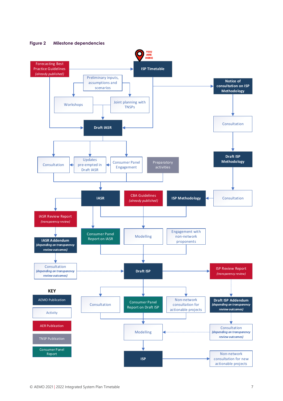

<span id="page-6-0"></span>**Figure 2 Milestone dependencies**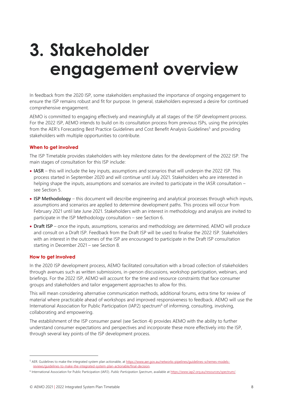### <span id="page-7-0"></span>**3. Stakeholder engagement overview**

In feedback from the 2020 ISP, some stakeholders emphasised the importance of ongoing engagement to ensure the ISP remains robust and fit for purpose. In general, stakeholders expressed a desire for continued comprehensive engagement.

AEMO is committed to engaging effectively and meaningfully at all stages of the ISP development process. For the 2022 ISP, AEMO intends to build on its consultation process from previous ISPs, using the principles from the AER's Forecasting Best Practice Guidelines and Cost Benefit Analysis Guidelines<sup>5</sup> and providing stakeholders with multiple opportunities to contribute.

#### **When to get involved**

The ISP Timetable provides stakeholders with key milestone dates for the development of the 2022 ISP. The main stages of consultation for this ISP include:

- **IASR** this will include the key inputs, assumptions and scenarios that will underpin the 2022 ISP. This process started in September 2020 and will continue until July 2021. Stakeholders who are interested in helping shape the inputs, assumptions and scenarios are invited to participate in the IASR consultation – see Section [5.](#page-10-0)
- **ISP Methodology** this document will describe engineering and analytical processes through which inputs, assumptions and scenarios are applied to determine development paths. This process will occur from February 2021 until late June 2021. Stakeholders with an interest in methodology and analysis are invited to participate in the ISP Methodology consultation – see Section [6.](#page-11-0)
- **Draft ISP** once the inputs, assumptions, scenarios and methodology are determined, AEMO will produce and consult on a Draft ISP. Feedback from the Draft ISP will be used to finalise the 2022 ISP. Stakeholders with an interest in the outcomes of the ISP are encouraged to participate in the Draft ISP consultation starting in December 2021 – see Section [8.](#page-13-0)

#### **How to get involved**

In the 2020 ISP development process, AEMO facilitated consultation with a broad collection of stakeholders through avenues such as written submissions, in-person discussions, workshop participation, webinars, and briefings. For the 2022 ISP, AEMO will account for the time and resource constraints that face consumer groups and stakeholders and tailor engagement approaches to allow for this.

This will mean considering alternative communication methods, additional forums, extra time for review of material where practicable ahead of workshops and improved responsiveness to feedback. AEMO will use the International Association for Public Participation (IAP2) spectrum<sup>6</sup> of informing, consulting, involving, collaborating and empowering.

The establishment of the ISP consumer panel (see Section 4) provides AEMO with the ability to further understand consumer expectations and perspectives and incorporate these more effectively into the ISP, through several key points of the ISP development process.

<sup>5</sup> AER. Guidelines to make the integrated system plan actionable, a[t https://www.aer.gov.au/networks-pipelines/guidelines-schemes-models](https://www.aer.gov.au/networks-pipelines/guidelines-schemes-models-reviews/guidelines-to-make-the-integrated-system-plan-actionable/final-decision)[reviews/guidelines-to-make-the-integrated-system-plan-actionable/final-decision.](https://www.aer.gov.au/networks-pipelines/guidelines-schemes-models-reviews/guidelines-to-make-the-integrated-system-plan-actionable/final-decision)

<sup>6</sup> International Association for Public Participation (IAP2). *Public Participation Spectrum*, available a[t https://www.iap2.org.au/resources/spectrum/.](https://www.iap2.org.au/resources/spectrum/)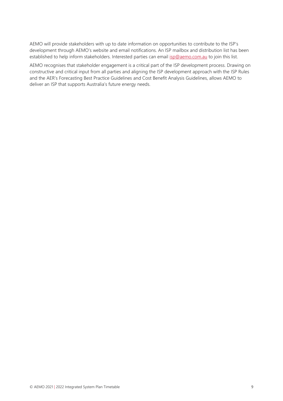AEMO will provide stakeholders with up to date information on opportunities to contribute to the ISP's development through AEMO's website and email notifications. An ISP mailbox and distribution list has been established to help inform stakeholders. Interested parties can emai[l isp@aemo.com.au](mailto:isp@aemo.com.au) to join this list.

AEMO recognises that stakeholder engagement is a critical part of the ISP development process. Drawing on constructive and critical input from all parties and aligning the ISP development approach with the ISP Rules and the AER's Forecasting Best Practice Guidelines and Cost Benefit Analysis Guidelines, allows AEMO to deliver an ISP that supports Australia's future energy needs.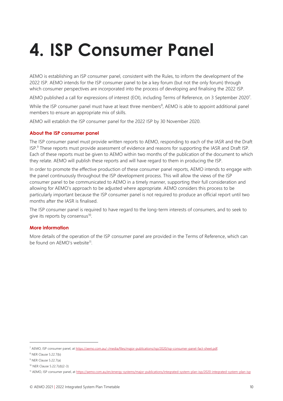## <span id="page-9-0"></span>**4. ISP Consumer Panel**

AEMO is establishing an ISP consumer panel, consistent with the Rules, to inform the development of the 2022 ISP. AEMO intends for the ISP consumer panel to be a key forum (but not the only forum) through which consumer perspectives are incorporated into the process of developing and finalising the 2022 ISP.

AEMO published a call for expressions of interest (EOI), including Terms of Reference, on 3 September 2020<sup>7</sup>.

While the ISP consumer panel must have at least three members<sup>8</sup>, AEMO is able to appoint additional panel members to ensure an appropriate mix of skills.

AEMO will establish the ISP consumer panel for the 2022 ISP by 30 November 2020.

#### **About the ISP consumer panel**

The ISP consumer panel must provide written reports to AEMO, responding to each of the IASR and the Draft ISP.<sup>9</sup> These reports must provide assessment of evidence and reasons for supporting the IASR and Draft ISP. Each of these reports must be given to AEMO within two months of the publication of the document to which they relate. AEMO will publish these reports and will have regard to them in producing the ISP.

In order to promote the effective production of these consumer panel reports, AEMO intends to engage with the panel continuously throughout the ISP development process. This will allow the views of the ISP consumer panel to be communicated to AEMO in a timely manner, supporting their full consideration and allowing for AEMO's approach to be adjusted where appropriate. AEMO considers this process to be particularly important because the ISP consumer panel is not required to produce an official report until two months after the IASR is finalised.

The ISP consumer panel is required to have regard to the long-term interests of consumers, and to seek to give its reports by consensus<sup>10</sup>.

#### **More information**

More details of the operation of the ISP consumer panel are provided in the Terms of Reference, which can be found on AEMO's website<sup>11</sup>.

<sup>7</sup> AEMO, ISP consumer panel, a[t https://aemo.com.au/-/media/files/major-publications/isp/2020/isp-consumer-panel-fact-sheet.pdf.](https://aemo.com.au/-/media/files/major-publications/isp/2020/isp-consumer-panel-fact-sheet.pdf) 

<sup>8</sup> NER Clause 5.22.7(b)

<sup>9</sup> NER Clause 5.22.7(a)

<sup>10</sup> NER Clause 5.22.7(d)(2-3)

<sup>11</sup> AEMO, ISP consumer panel, a[t https://aemo.com.au/en/energy-systems/major-publications/integrated-system-plan-isp/2020-integrated-system-plan-isp](https://aemo.com.au/en/energy-systems/major-publications/integrated-system-plan-isp/2020-integrated-system-plan-isp)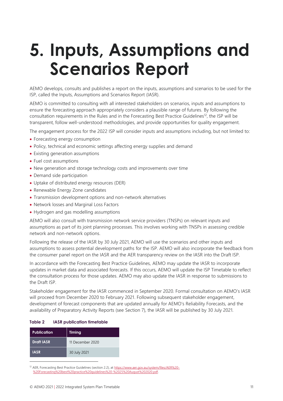### <span id="page-10-0"></span>**5. Inputs, Assumptions and Scenarios Report**

AEMO develops, consults and publishes a report on the inputs, assumptions and scenarios to be used for the ISP, called the Inputs, Assumptions and Scenarios Report (IASR).

AEMO is committed to consulting with all interested stakeholders on scenarios, inputs and assumptions to ensure the forecasting approach appropriately considers a plausible range of futures. By following the consultation requirements in the Rules and in the Forecasting Best Practice Guidelines<sup>12</sup>, the ISP will be transparent, follow well-understood methodologies, and provide opportunities for quality engagement.

The engagement process for the 2022 ISP will consider inputs and assumptions including, but not limited to:

- Forecasting energy consumption
- Policy, technical and economic settings affecting energy supplies and demand
- Existing generation assumptions
- Fuel cost assumptions
- New generation and storage technology costs and improvements over time
- Demand side participation
- Uptake of distributed energy resources (DER)
- Renewable Energy Zone candidates
- Transmission development options and non-network alternatives
- Network losses and Marginal Loss Factors
- Hydrogen and gas modelling assumptions

AEMO will also consult with transmission network service providers (TNSPs) on relevant inputs and assumptions as part of its joint planning processes. This involves working with TNSPs in assessing credible network and non-network options.

Following the release of the IASR by 30 July 2021, AEMO will use the scenarios and other inputs and assumptions to assess potential development paths for the ISP. AEMO will also incorporate the feedback from the consumer panel report on the IASR and the AER transparency review on the IASR into the Draft ISP.

In accordance with the Forecasting Best Practice Guidelines, AEMO may update the IASR to incorporate updates in market data and associated forecasts. If this occurs, AEMO will update the ISP Timetable to reflect the consultation process for those updates. AEMO may also update the IASR in response to submissions to the Draft ISP.

Stakeholder engagement for the IASR commenced in September 2020. Formal consultation on AEMO's IASR will proceed from December 2020 to February 2021. Following subsequent stakeholder engagement, development of forecast components that are updated annually for AEMO's Reliability Forecasts, and the availability of Preparatory Activity Reports (see Section 7), the IASR will be published by 30 July 2021.

#### <span id="page-10-1"></span>**Table 2 IASR publication timetable**

| <b>Publication</b> | <b>Timing</b>    |
|--------------------|------------------|
| <b>Draft IASR</b>  | 11 December 2020 |
| <b>IASR</b>        | 30 July 2021     |

<sup>12</sup> AER, Forecasting Best Practice Guidelines (section 2.2), a[t https://www.aer.gov.au/system/files/AER%20-](https://www.aer.gov.au/system/files/AER%20-%20Forecasting%20best%20practice%20guidelines%20-%2025%20August%202020.pdf) [%20Forecasting%20best%20practice%20guidelines%20-%2025%20August%202020.pdf.](https://www.aer.gov.au/system/files/AER%20-%20Forecasting%20best%20practice%20guidelines%20-%2025%20August%202020.pdf)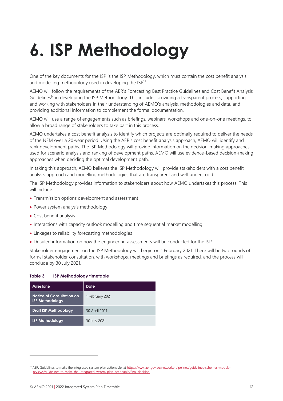# <span id="page-11-0"></span>**6. ISP Methodology**

One of the key documents for the ISP is the ISP Methodology, which must contain the cost benefit analysis and modelling methodology used in developing the  $ISP<sup>13</sup>$ .

AEMO will follow the requirements of the AER's Forecasting Best Practice Guidelines and Cost Benefit Analysis Guidelines<sup>14</sup> in developing the ISP Methodology. This includes providing a transparent process, supporting and working with stakeholders in their understanding of AEMO's analysis, methodologies and data, and providing additional information to complement the formal documentation.

AEMO will use a range of engagements such as briefings, webinars, workshops and one-on-one meetings, to allow a broad range of stakeholders to take part in this process.

AEMO undertakes a cost benefit analysis to identify which projects are optimally required to deliver the needs of the NEM over a 20-year period. Using the AER's cost benefit analysis approach, AEMO will identify and rank development paths. The ISP Methodology will provide information on the decision-making approaches used for scenario analysis and ranking of development paths. AEMO will use evidence-based decision-making approaches when deciding the optimal development path.

In taking this approach, AEMO believes the ISP Methodology will provide stakeholders with a cost benefit analysis approach and modelling methodologies that are transparent and well understood.

The ISP Methodology provides information to stakeholders about how AEMO undertakes this process. This will include:

- Transmission options development and assessment
- Power system analysis methodology
- Cost benefit analysis
- Interactions with capacity outlook modelling and time sequential market modelling
- Linkages to reliability forecasting methodologies
- Detailed information on how the engineering assessments will be conducted for the ISP

Stakeholder engagement on the ISP Methodology will begin on 1 February 2021. There will be two rounds of formal stakeholder consultation, with workshops, meetings and briefings as required, and the process will conclude by 30 July 2021.

#### <span id="page-11-1"></span>**Table 3 ISP Methodology timetable**

| Milestone                                           | Date            |
|-----------------------------------------------------|-----------------|
| Notice of Consultation on<br><b>ISP Methodology</b> | 1 February 2021 |
| <b>Draft ISP Methodology</b>                        | 30 April 2021   |
| <b>ISP Methodology</b>                              | 30 July 2021    |

<sup>14</sup> AER. Guidelines to make the integrated system plan actionable, a[t https://www.aer.gov.au/networks-pipelines/guidelines-schemes-models](https://www.aer.gov.au/networks-pipelines/guidelines-schemes-models-reviews/guidelines-to-make-the-integrated-system-plan-actionable/final-decision)[reviews/guidelines-to-make-the-integrated-system-plan-actionable/final-decision.](https://www.aer.gov.au/networks-pipelines/guidelines-schemes-models-reviews/guidelines-to-make-the-integrated-system-plan-actionable/final-decision)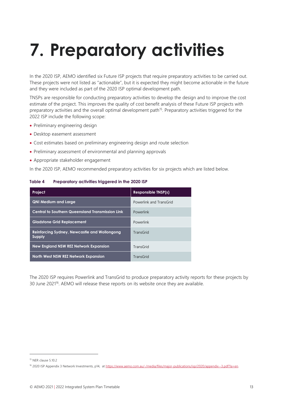# <span id="page-12-0"></span>**7. Preparatory activities**

In the 2020 ISP, AEMO identified six Future ISP projects that require preparatory activities to be carried out. These projects were not listed as "actionable", but it is expected they might become actionable in the future and they were included as part of the 2020 ISP optimal development path.

TNSPs are responsible for conducting preparatory activities to develop the design and to improve the cost estimate of the project. This improves the quality of cost benefit analysis of these Future ISP projects with preparatory activities and the overall optimal development path<sup>15</sup>. Preparatory activities triggered for the 2022 ISP include the following scope:

- Preliminary engineering design
- Desktop easement assessment
- Cost estimates based on preliminary engineering design and route selection
- Preliminary assessment of environmental and planning approvals
- Appropriate stakeholder engagement

In the 2020 ISP, AEMO recommended preparatory activities for six projects which are listed below.

#### <span id="page-12-1"></span>**Table 4 Preparatory activities triggered in the 2020 ISP**

| Project                                                       | <b>Responsible TNSP(s)</b> |
|---------------------------------------------------------------|----------------------------|
| <b>QNI Medium and Large</b>                                   | Powerlink and TransGrid    |
| <b>Central to Southern Queensland Transmission Link</b>       | Powerlink                  |
| <b>Gladstone Grid Replacement</b>                             | Powerlink                  |
| <b>Reinforcing Sydney, Newcastle and Wollongong</b><br>Supply | TransGrid                  |
| <b>New England NSW REZ Network Expansion</b>                  | TransGrid                  |
| North West NSW REZ Network Expansion                          | TransGrid                  |

The 2020 ISP requires Powerlink and TransGrid to produce preparatory activity reports for these projects by 30 June 2021<sup>16</sup>. AEMO will release these reports on its website once they are available.

<sup>15</sup> NER clause 5.10.2

<sup>16 2020</sup> ISP Appendix 3 Network Investments, p14, at https://www.aemo.com.au/-/media/files/major-publications/isp/2020/appendix--3.pdf?la=en